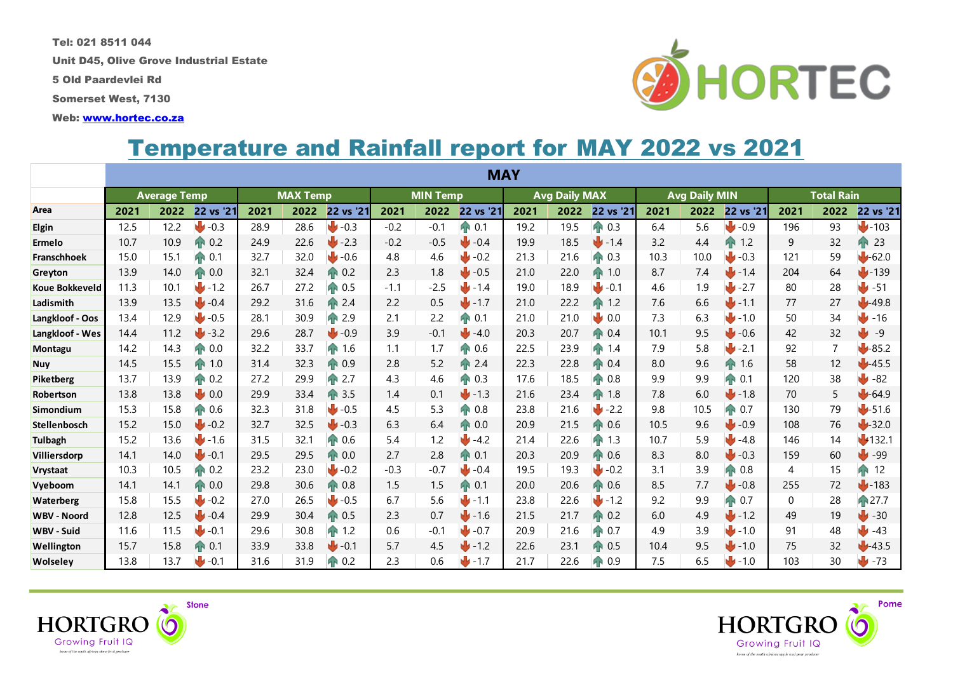Tel: 021 8511 044

Unit D45, Olive Grove Industrial Estate

5 Old Paardevlei Rd

Somerset West, 7130

Web: [www.hortec.co.za](http://www.hortec.co.za/)

## Temperature and Rainfall report for MAY 2022 vs 2021

|                       |                     |      |                     |                 |      |                     |                 |        | <b>MAY</b>     |                      |      |                |                      |      |                  |                   |      |                    |
|-----------------------|---------------------|------|---------------------|-----------------|------|---------------------|-----------------|--------|----------------|----------------------|------|----------------|----------------------|------|------------------|-------------------|------|--------------------|
|                       | <b>Average Temp</b> |      |                     | <b>MAX Temp</b> |      |                     | <b>MIN Temp</b> |        |                | <b>Avg Daily MAX</b> |      |                | <b>Avg Daily MIN</b> |      |                  | <b>Total Rain</b> |      |                    |
| Area                  | 2021                | 2022 | 22 vs '21           | 2021            | 2022 | 22 vs '21           | 2021            | 2022   | 22 vs '21      | 2021                 | 2022 | 22 vs '21      | 2021                 | 2022 | 22 vs '21        | 2021              | 2022 | 22 vs '21          |
| Elgin                 | 12.5                | 12.2 | $\bigcup$ -0.3      | 28.9            | 28.6 | $\bigcup$ -0.3      | $-0.2$          | $-0.1$ | ↑ 0.1          | 19.2                 | 19.5 | <b>T</b> 0.3   | 6.4                  | 5.6  | $\bigcup$ -0.9   | 196               | 93   | $J - 103$          |
| Ermelo                | 10.7                | 10.9 | <b>T</b> 0.2        | 24.9            | 22.6 | $\bigcup$ -2.3      | $-0.2$          | $-0.5$ | $\bigcup$ -0.4 | 19.9                 | 18.5 | 1.4            | 3.2                  | 4.4  | <b>TN</b><br>1.2 | 9                 | 32   | $\mathbf{P}$<br>23 |
| <b>Franschhoek</b>    | 15.0                | 15.1 | <b>PP</b> 0.1       | 32.7            | 32.0 | $\bigcup$ -0.6      | 4.8             | 4.6    | $\bigcup$ -0.2 | 21.3                 | 21.6 | $AP$ 0.3       | 10.3                 | 10.0 | $J - 0.3$        | 121               | 59   | $-62.0$            |
| Greyton               | 13.9                | 14.0 | AP 0.0              | 32.1            | 32.4 | 0.2<br>ИN           | 2.3             | 1.8    | $\bigcup$ -0.5 | 21.0                 | 22.0 | 1.0<br>4Ń      | 8.7                  | 7.4  | $-1.4$           | 204               | 64   | 139                |
| <b>Koue Bokkeveld</b> | 11.3                | 10.1 | $J - 1.2$           | 26.7            | 27.2 | 0.5<br>ИN           | $-1.1$          | $-2.5$ | 1.4            | 19.0                 | 18.9 | $1 - 0.1$      | 4.6                  | 1.9  | $1 - 2.7$        | 80                | 28   | ₩<br>$-51$         |
| Ladismith             | 13.9                | 13.5 | $\blacksquare$ -0.4 | 29.2            | 31.6 | 2.4                 | 2.2             | 0.5    | $-1.7$         | 21.0                 | 22.2 | 1N<br>1.2      | 7.6                  | 6.6  | $-1.1$           | 77                | 27   | 49.8               |
| Langkloof - Oos       | 13.4                | 12.9 | $\bigcup$ -0.5      | 28.1            | 30.9 | 2.9<br>ИN           | 2.1             | 2.2    | AN 0.1         | 21.0                 | 21.0 | 0.0            | 7.3                  | 6.3  | 1.0              | 50                | 34   | JИ<br>$-16$        |
| Langkloof - Wes       | 14.4                | 11.2 | $\bigcup$ -3.2      | 29.6            | 28.7 | $\bigcup$ -0.9      | 3.9             | $-0.1$ | $\bigcup$ -4.0 | 20.3                 | 20.7 | <b>R</b> 0.4   | 10.1                 | 9.5  | $\bigcup$ -0.6   | 42                | 32   | ₩<br>$-9$          |
| Montagu               | 14.2                | 14.3 | 0.0<br>ЯÑ           | 32.2            | 33.7 | 1.6                 | 1.1             | 1.7    | <b>PP</b> 0.6  | 22.5                 | 23.9 | 1.4<br>1N      | 7.9                  | 5.8  | $J - 2.1$        | 92                | 7    | $-85.2$            |
| <b>Nuy</b>            | 14.5                | 15.5 | 1.0                 | 31.4            | 32.3 | AP 0.9              | 2.8             | 5.2    | <b>A</b> 2.4   | 22.3                 | 22.8 | AN 0.4         | 8.0                  | 9.6  | h<br>1.6         | 58                | 12   | $1 - 45.5$         |
| Piketberg             | 13.7                | 13.9 | 0.2<br>ЯÑ           | 27.2            | 29.9 | 2.7<br>$\mathbf{H}$ | 4.3             | 4.6    | <b>T</b> 0.3   | 17.6                 | 18.5 | 0.8            | 9.9                  | 9.9  | 90.1             | 120               | 38   | وآلج<br>$-82$      |
| Robertson             | 13.8                | 13.8 | 0.0                 | 29.9            | 33.4 | 3.5                 | 1.4             | 0.1    | 1.3            | 21.6                 | 23.4 | 1.8<br>4N      | 7.8                  | 6.0  | 1.8              | 70                | 5    | $-64.9$            |
| Simondium             | 15.3                | 15.8 | 0.6                 | 32.3            | 31.8 | $\bigcup$ -0.5      | 4.5             | 5.3    | AP 0.8         | 23.8                 | 21.6 | $+2.2$         | 9.8                  | 10.5 | AN 0.7           | 130               | 79   | $-51.6$            |
| <b>Stellenbosch</b>   | 15.2                | 15.0 | $-0.2$              | 32.7            | 32.5 | $\bigcup$ -0.3      | 6.3             | 6.4    | <b>1</b> 0.0   | 20.9                 | 21.5 | 0.6            | 10.5                 | 9.6  | $-0.9$           | 108               | 76   | $-32.0$            |
| <b>Tulbagh</b>        | 15.2                | 13.6 | $1 - 1.6$           | 31.5            | 32.1 | A 0.6               | 5.4             | 1.2    | $\bigcup$ -4.2 | 21.4                 | 22.6 | 1.3<br>ИÑ      | 10.7                 | 5.9  | $-4.8$           | 146               | 14   | 132.1              |
| Villiersdorp          | 14.1                | 14.0 | $-0.1$              | 29.5            | 29.5 | 0.0                 | 2.7             | 2.8    | <b>T</b> 0.1   | 20.3                 | 20.9 | <b>PP</b> 0.6  | 8.3                  | 8.0  | $-0.3$           | 159               | 60   | $-99$              |
| <b>Vrystaat</b>       | 10.3                | 10.5 | 0.2<br>4N           | 23.2            | 23.0 | $-0.2$              | $-0.3$          | $-0.7$ | $\bigcup$ -0.4 | 19.5                 | 19.3 | $\bigcup$ -0.2 | 3.1                  | 3.9  | <b>T</b> 0.8     | 4                 | 15   | T<br>12            |
| Vyeboom               | 14.1                | 14.1 | 0.0<br>ЯÑ           | 29.8            | 30.6 | AP 0.8              | 1.5             | 1.5    | AP 0.1         | 20.0                 | 20.6 | AP 0.6         | 8.5                  | 7.7  | $-0.8$           | 255               | 72   | 183                |
| <b>Waterberg</b>      | 15.8                | 15.5 | $+0.2$              | 27.0            | 26.5 | $\bigcup$ -0.5      | 6.7             | 5.6    | 1.1            | 23.8                 | 22.6 | $-1.2$         | 9.2                  | 9.9  | ₼ 0.7            | $\Omega$          | 28   | <b>T</b> 27.7      |
| <b>WBV - Noord</b>    | 12.8                | 12.5 | $-0.4$              | 29.9            | 30.4 | AN 0.5              | 2.3             | 0.7    | $-1.6$         | 21.5                 | 21.7 | 0.2<br>ЯŃ      | 6.0                  | 4.9  | 1.2              | 49                | 19   | $-30$              |
| WBV - Suid            | 11.6                | 11.5 | $1 - 0.1$           | 29.6            | 30.8 | 1.2<br>ИN           | 0.6             | $-0.1$ | $\bigcup$ -0.7 | 20.9                 | 21.6 | 0.7            | 4.9                  | 3.9  | $-1.0$           | 91                | 48   | $-43$              |
| Wellington            | 15.7                | 15.8 | 0.1<br>T            | 33.9            | 33.8 | $\bigcup$ -0.1      | 5.7             | 4.5    | 1.2            | 22.6                 | 23.1 | <b>TR</b> 0.5  | 10.4                 | 9.5  | 1.0              | 75                | 32   | $-43.5$            |
| Wolseley              | 13.8                | 13.7 | $+0.1$              | 31.6            | 31.9 | 1 0.2               | 2.3             | 0.6    | $-1.7$         | 21.7                 | 22.6 | 0.9<br>ИŃ      | 7.5                  | 6.5  | $-1.0$           | 103               | 30   | $-73$              |





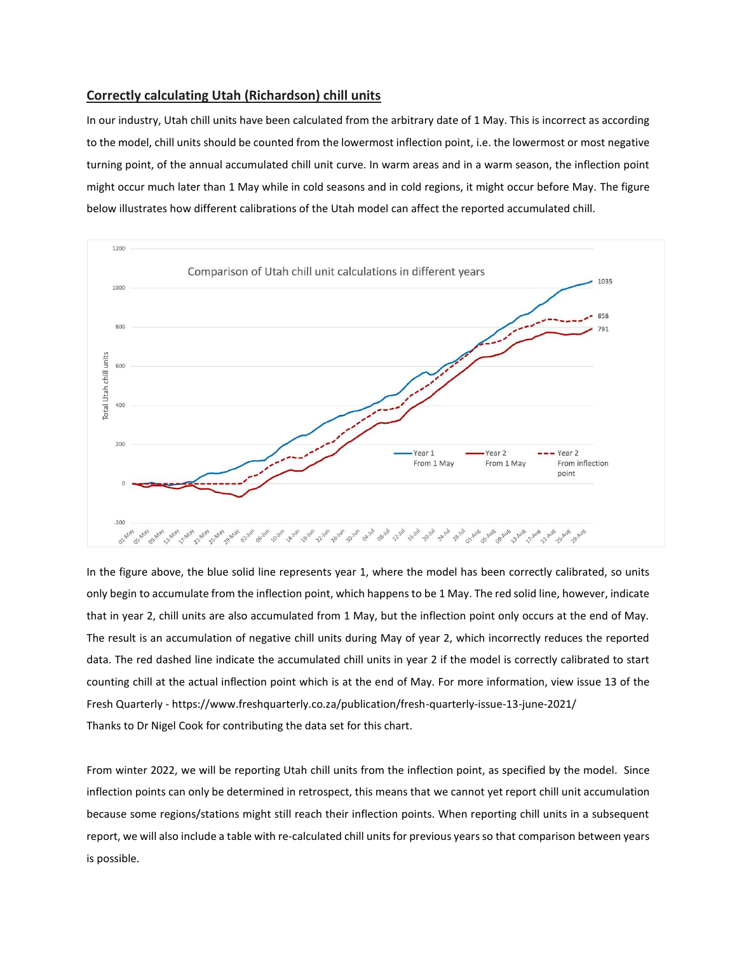## **Correctly calculating Utah (Richardson) chill units**

In our industry, Utah chill units have been calculated from the arbitrary date of 1 May. This is incorrect as according to the model, chill units should be counted from the lowermost inflection point, i.e. the lowermost or most negative turning point, of the annual accumulated chill unit curve. In warm areas and in a warm season, the inflection point might occur much later than 1 May while in cold seasons and in cold regions, it might occur before May. The figure below illustrates how different calibrations of the Utah model can affect the reported accumulated chill.



In the figure above, the blue solid line represents year 1, where the model has been correctly calibrated, so units only begin to accumulate from the inflection point, which happens to be 1 May. The red solid line, however, indicate that in year 2, chill units are also accumulated from 1 May, but the inflection point only occurs at the end of May. The result is an accumulation of negative chill units during May of year 2, which incorrectly reduces the reported data. The red dashed line indicate the accumulated chill units in year 2 if the model is correctly calibrated to start counting chill at the actual inflection point which is at the end of May. For more information, view issue 13 of the Fresh Quarterly - <https://www.freshquarterly.co.za/publication/fresh-quarterly-issue-13-june-2021/> Thanks to Dr Nigel Cook for contributing the data set for this chart.

From winter 2022, we will be reporting Utah chill units from the inflection point, as specified by the model. Since inflection points can only be determined in retrospect, this means that we cannot yet report chill unit accumulation because some regions/stations might still reach their inflection points. When reporting chill units in a subsequent report, we will also include a table with re-calculated chill units for previous years so that comparison between years is possible.